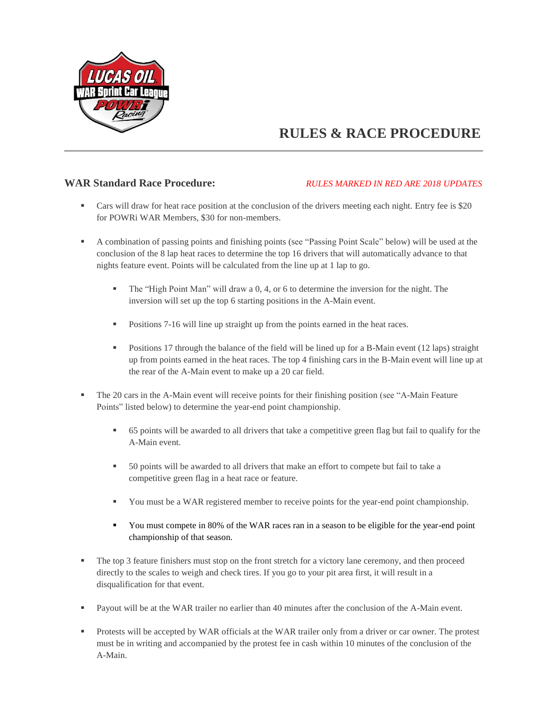

# **RULES & RACE PROCEDURE**

#### **WAR Standard Race Procedure:** *RULES MARKED IN RED ARE 2018 UPDATES*

- Cars will draw for heat race position at the conclusion of the drivers meeting each night. Entry fee is \$20 for POWRi WAR Members, \$30 for non-members.
- A combination of passing points and finishing points (see "Passing Point Scale" below) will be used at the conclusion of the 8 lap heat races to determine the top 16 drivers that will automatically advance to that nights feature event. Points will be calculated from the line up at 1 lap to go.
	- The "High Point Man" will draw a 0, 4, or 6 to determine the inversion for the night. The inversion will set up the top 6 starting positions in the A-Main event.
	- **Positions 7-16 will line up straight up from the points earned in the heat races.**
	- Positions 17 through the balance of the field will be lined up for a B-Main event (12 laps) straight up from points earned in the heat races. The top 4 finishing cars in the B-Main event will line up at the rear of the A-Main event to make up a 20 car field.
- The 20 cars in the A-Main event will receive points for their finishing position (see "A-Main Feature Points" listed below) to determine the year-end point championship.
	- 65 points will be awarded to all drivers that take a competitive green flag but fail to qualify for the A-Main event.
	- 50 points will be awarded to all drivers that make an effort to compete but fail to take a competitive green flag in a heat race or feature.
	- You must be a WAR registered member to receive points for the year-end point championship.
	- You must compete in 80% of the WAR races ran in a season to be eligible for the year-end point championship of that season.
- The top 3 feature finishers must stop on the front stretch for a victory lane ceremony, and then proceed directly to the scales to weigh and check tires. If you go to your pit area first, it will result in a disqualification for that event.
- Payout will be at the WAR trailer no earlier than 40 minutes after the conclusion of the A-Main event.
- **Protests will be accepted by WAR officials at the WAR trailer only from a driver or car owner. The protest** must be in writing and accompanied by the protest fee in cash within 10 minutes of the conclusion of the A-Main.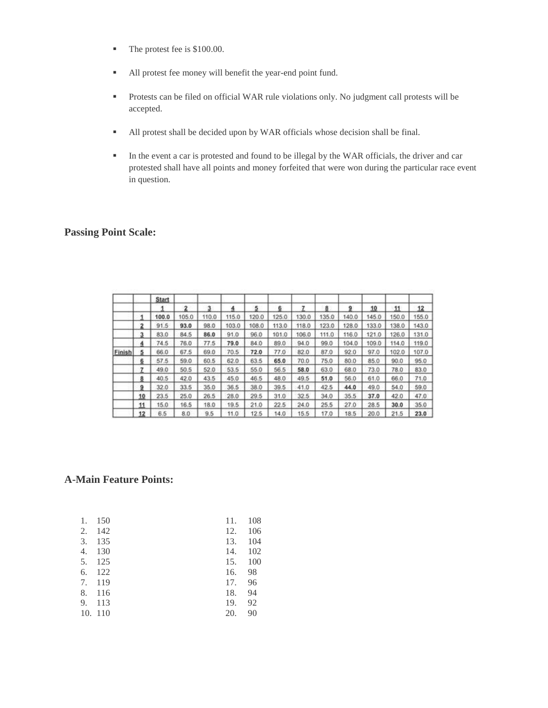- The protest fee is \$100.00.
- All protest fee money will benefit the year-end point fund.
- Protests can be filed on official WAR rule violations only. No judgment call protests will be accepted.
- All protest shall be decided upon by WAR officials whose decision shall be final.
- In the event a car is protested and found to be illegal by the WAR officials, the driver and car protested shall have all points and money forfeited that were won during the particular race event in question.

### **Passing Point Scale:**

|               |    | <b>Start</b> |       |       |       |       |       |       |       |       |       |       |       |
|---------------|----|--------------|-------|-------|-------|-------|-------|-------|-------|-------|-------|-------|-------|
|               |    |              | 2     | 3     |       | 5     | 6     |       | 8     | g     | 10    | 11    | 12    |
|               |    | 100.0        | 105.0 | 110.0 | 115.0 | 120.0 | 125.0 | 130.0 | 135.0 | 140.0 | 145.0 | 150.0 | 155.0 |
|               | 2  | 91.5         | 93.0  | 98.0  | 103.0 | 108.0 | 113.0 | 118.0 | 123.0 | 128.0 | 133.0 | 138.0 | 143.0 |
|               | 3  | 83.0         | 84.5  | 86.0  | 91.0  | 96.0  | 101.0 | 106.0 | 111.0 | 116.0 | 121.0 | 126.0 | 131.0 |
|               | 4  | 74.5         | 76.0  | 77.5  | 79.0  | 84.0  | 89.0  | 94.0  | 99.0  | 104.0 | 109.0 | 114.0 | 119.0 |
| <b>Finish</b> | 5  | 66.0         | 67.5  | 69.0  | 70.5  | 72.0  | 77.0  | 82.0  | 87.0  | 92.0  | 97.0  | 102.0 | 107.0 |
|               | 6  | 57.5         | 59.0  | 60.5  | 62.0  | 63.5  | 65.0  | 70.0  | 75.0  | 80.0  | 85.0  | 90.0  | 95.0  |
|               | 7  | 49.0         | 50.5  | 52.0  | 53.5  | 55.0  | 56.5  | 58.0  | 63.0  | 68.0  | 73.0  | 78.0  | 83.0  |
|               | 8  | 40.5         | 42.0  | 43.5  | 45.0  | 46.5  | 48.0  | 49.5  | 51.0  | 56.0  | 61.0  | 66.0  | 71.0  |
|               | 9  | 32.0         | 33.5  | 35.0  | 36.5  | 38.0  | 39.5  | 41.0  | 42.5  | 44.0  | 49.0  | 54.0  | 59.0  |
|               | 10 | 23.5         | 25.0  | 26.5  | 28.0  | 29.5  | 31.0  | 32.5  | 34.0  | 35.5  | 37.0  | 42.0  | 47.0  |
|               | 11 | 15.0         | 16.5  | 18.0  | 19.5  | 21.0  | 22.5  | 24.0  | 25.5  | 27.0  | 28.5  | 30.0  | 35.0  |
|               | 12 | 6.5          | 8.0   | 9.5   | 11.0  | 12.5  | 14.0  | 15.5  | 17.0  | 18.5  | 20.0  | 21.5  | 23.0  |

#### **A-Main Feature Points:**

| 1. | 150     | 11. | 108 |
|----|---------|-----|-----|
| 2. | 142     | 12. | 106 |
| 3. | 135     | 13. | 104 |
| 4. | 130     | 14. | 102 |
| 5. | 125     | 15. | 100 |
| 6. | 122     | 16. | 98  |
| 7. | 119     | 17. | 96  |
| 8. | 116     | 18. | 94  |
| 9. | 113     | 19. | 92  |
|    | 10. 110 | 20. | 90  |
|    |         |     |     |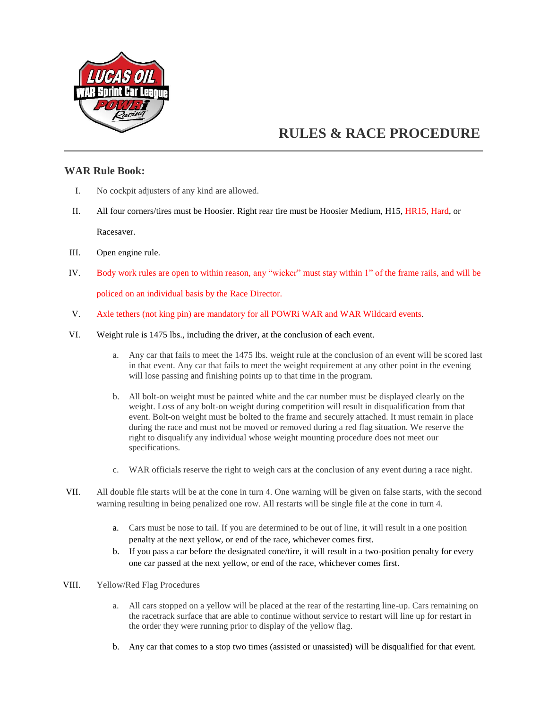

## **RULES & RACE PROCEDURE**

#### **WAR Rule Book:**

- I. No cockpit adjusters of any kind are allowed.
- II. All four corners/tires must be Hoosier. Right rear tire must be Hoosier Medium, H15, HR15, Hard, or Racesaver.
- III. Open engine rule.
- IV. Body work rules are open to within reason, any "wicker" must stay within 1" of the frame rails, and will be policed on an individual basis by the Race Director.
- V. Axle tethers (not king pin) are mandatory for all POWRi WAR and WAR Wildcard events.
- VI. Weight rule is 1475 lbs., including the driver, at the conclusion of each event.
	- a. Any car that fails to meet the 1475 lbs. weight rule at the conclusion of an event will be scored last in that event. Any car that fails to meet the weight requirement at any other point in the evening will lose passing and finishing points up to that time in the program.
	- b. All bolt-on weight must be painted white and the car number must be displayed clearly on the weight. Loss of any bolt-on weight during competition will result in disqualification from that event. Bolt-on weight must be bolted to the frame and securely attached. It must remain in place during the race and must not be moved or removed during a red flag situation. We reserve the right to disqualify any individual whose weight mounting procedure does not meet our specifications.
	- c. WAR officials reserve the right to weigh cars at the conclusion of any event during a race night.
- VII. All double file starts will be at the cone in turn 4. One warning will be given on false starts, with the second warning resulting in being penalized one row. All restarts will be single file at the cone in turn 4.
	- a. Cars must be nose to tail. If you are determined to be out of line, it will result in a one position penalty at the next yellow, or end of the race, whichever comes first.
	- b. If you pass a car before the designated cone/tire, it will result in a two-position penalty for every one car passed at the next yellow, or end of the race, whichever comes first.
- VIII. Yellow/Red Flag Procedures
	- a. All cars stopped on a yellow will be placed at the rear of the restarting line-up. Cars remaining on the racetrack surface that are able to continue without service to restart will line up for restart in the order they were running prior to display of the yellow flag.
	- b. Any car that comes to a stop two times (assisted or unassisted) will be disqualified for that event.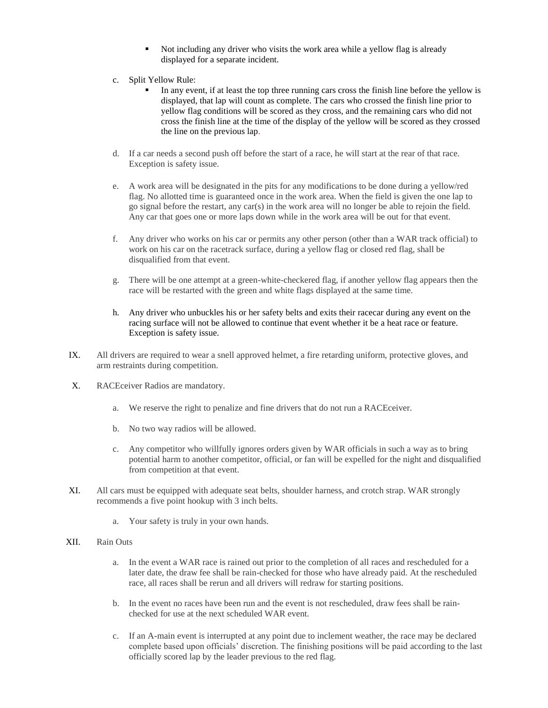- Not including any driver who visits the work area while a yellow flag is already displayed for a separate incident.
- c. Split Yellow Rule:
	- In any event, if at least the top three running cars cross the finish line before the yellow is displayed, that lap will count as complete. The cars who crossed the finish line prior to yellow flag conditions will be scored as they cross, and the remaining cars who did not cross the finish line at the time of the display of the yellow will be scored as they crossed the line on the previous lap.
- d. If a car needs a second push off before the start of a race, he will start at the rear of that race. Exception is safety issue.
- e. A work area will be designated in the pits for any modifications to be done during a yellow/red flag. No allotted time is guaranteed once in the work area. When the field is given the one lap to go signal before the restart, any car(s) in the work area will no longer be able to rejoin the field. Any car that goes one or more laps down while in the work area will be out for that event.
- f. Any driver who works on his car or permits any other person (other than a WAR track official) to work on his car on the racetrack surface, during a yellow flag or closed red flag, shall be disqualified from that event.
- g. There will be one attempt at a green-white-checkered flag, if another yellow flag appears then the race will be restarted with the green and white flags displayed at the same time.
- h. Any driver who unbuckles his or her safety belts and exits their racecar during any event on the racing surface will not be allowed to continue that event whether it be a heat race or feature. Exception is safety issue.
- IX. All drivers are required to wear a snell approved helmet, a fire retarding uniform, protective gloves, and arm restraints during competition.
- X. RACEceiver Radios are mandatory.
	- a. We reserve the right to penalize and fine drivers that do not run a RACEceiver.
	- b. No two way radios will be allowed.
	- c. Any competitor who willfully ignores orders given by WAR officials in such a way as to bring potential harm to another competitor, official, or fan will be expelled for the night and disqualified from competition at that event.
- XI. All cars must be equipped with adequate seat belts, shoulder harness, and crotch strap. WAR strongly recommends a five point hookup with 3 inch belts.
	- a. Your safety is truly in your own hands.
- XII. Rain Outs
	- a. In the event a WAR race is rained out prior to the completion of all races and rescheduled for a later date, the draw fee shall be rain-checked for those who have already paid. At the rescheduled race, all races shall be rerun and all drivers will redraw for starting positions.
	- b. In the event no races have been run and the event is not rescheduled, draw fees shall be rainchecked for use at the next scheduled WAR event.
	- c. If an A-main event is interrupted at any point due to inclement weather, the race may be declared complete based upon officials' discretion. The finishing positions will be paid according to the last officially scored lap by the leader previous to the red flag.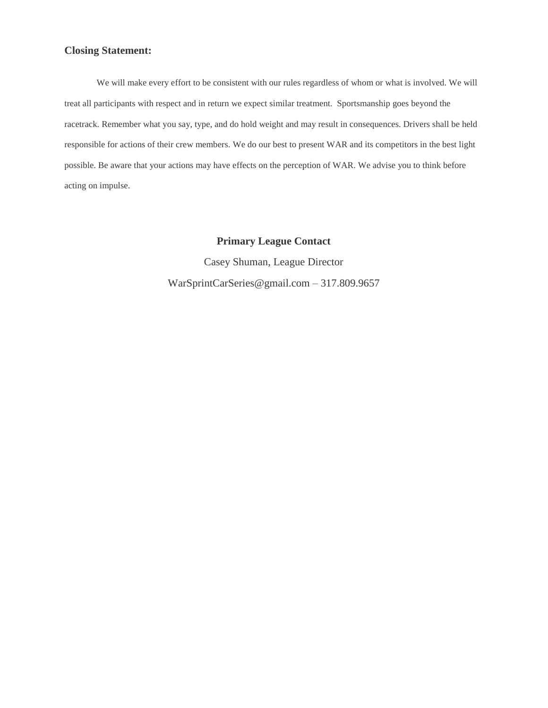#### **Closing Statement:**

We will make every effort to be consistent with our rules regardless of whom or what is involved. We will treat all participants with respect and in return we expect similar treatment. Sportsmanship goes beyond the racetrack. Remember what you say, type, and do hold weight and may result in consequences. Drivers shall be held responsible for actions of their crew members. We do our best to present WAR and its competitors in the best light possible. Be aware that your actions may have effects on the perception of WAR. We advise you to think before acting on impulse.

**Primary League Contact**

Casey Shuman, League Director WarSprintCarSeries@gmail.com – 317.809.9657